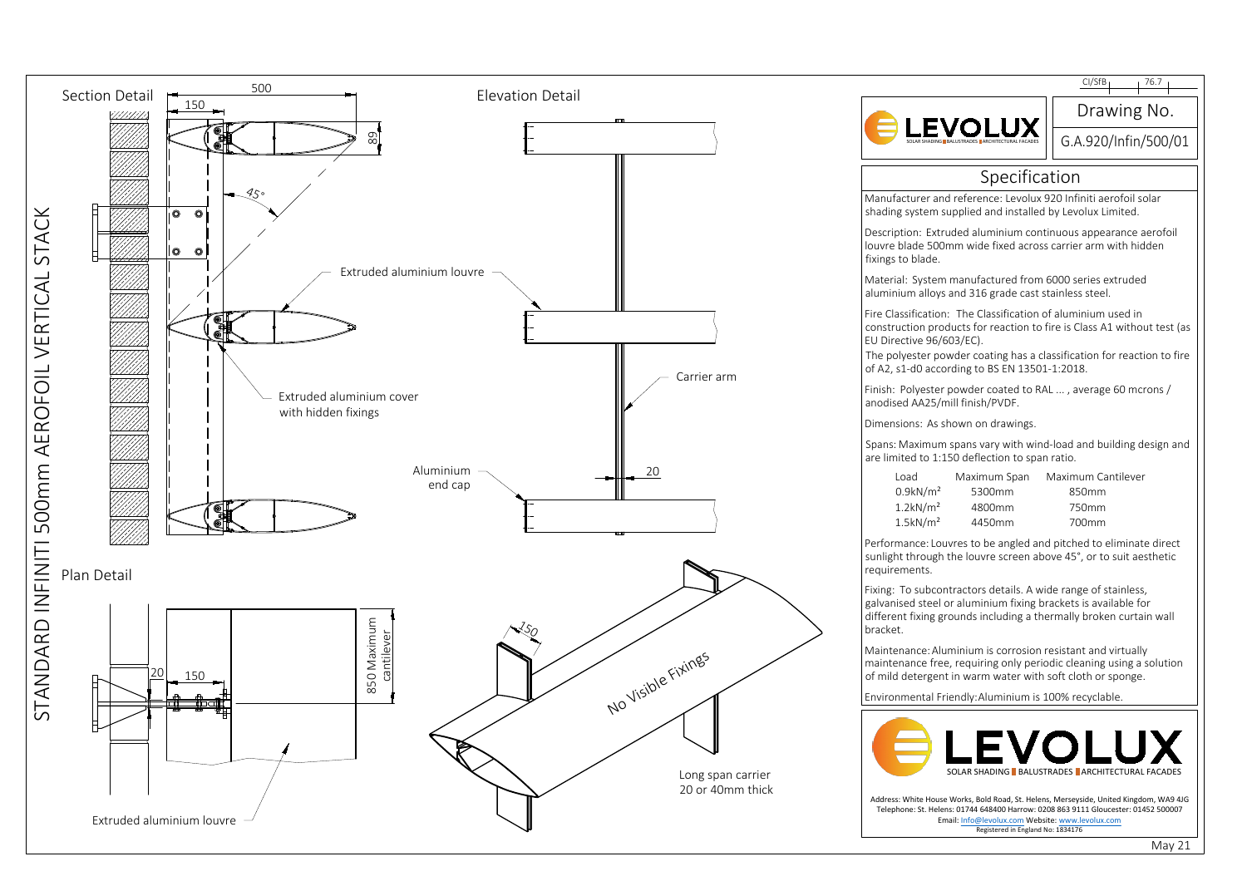

|                                                                                                                                                                                                                                                                                                | CI/SfB <sub>1</sub><br>76.7                       |
|------------------------------------------------------------------------------------------------------------------------------------------------------------------------------------------------------------------------------------------------------------------------------------------------|---------------------------------------------------|
|                                                                                                                                                                                                                                                                                                | Drawing No.                                       |
|                                                                                                                                                                                                                                                                                                | G.A.920/Infin/500/01                              |
| Specification                                                                                                                                                                                                                                                                                  |                                                   |
| Manufacturer and reference: Levolux 920 Infiniti aerofoil solar<br>shading system supplied and installed by Levolux Limited.                                                                                                                                                                   |                                                   |
| Description: Extruded aluminium continuous appearance aerofoil<br>louvre blade 500mm wide fixed across carrier arm with hidden<br>fixings to blade.                                                                                                                                            |                                                   |
| Material: System manufactured from 6000 series extruded<br>aluminium alloys and 316 grade cast stainless steel.                                                                                                                                                                                |                                                   |
| Fire Classification: The Classification of aluminium used in<br>construction products for reaction to fire is Class A1 without test (as<br>EU Directive 96/603/EC).<br>The polyester powder coating has a classification for reaction to fire<br>of A2, s1-d0 according to BS EN 13501-1:2018. |                                                   |
| Finish: Polyester powder coated to RAL , average 60 mcrons /<br>anodised AA25/mill finish/PVDF.                                                                                                                                                                                                |                                                   |
| Dimensions: As shown on drawings.                                                                                                                                                                                                                                                              |                                                   |
| Spans: Maximum spans vary with wind-load and building design and<br>are limited to 1:150 deflection to span ratio.                                                                                                                                                                             |                                                   |
| Load<br>Maximum Span<br>$0.9$ kN/m <sup>2</sup><br>5300mm<br>$1.2$ kN/m <sup>2</sup><br>4800mm<br>$1.5$ kN/m <sup>2</sup><br>4450mm                                                                                                                                                            | Maximum Cantilever<br>850mm<br>750mm<br>700mm     |
| Performance: Louvres to be angled and pitched to eliminate direct<br>sunlight through the louvre screen above 45°, or to suit aesthetic<br>requirements.                                                                                                                                       |                                                   |
| Fixing: To subcontractors details. A wide range of stainless,<br>galvanised steel or aluminium fixing brackets is available for<br>different fixing grounds including a thermally broken curtain wall<br>bracket.                                                                              |                                                   |
| Maintenance: Aluminium is corrosion resistant and virtually<br>maintenance free, requiring only periodic cleaning using a solution<br>of mild detergent in warm water with soft cloth or sponge.                                                                                               |                                                   |
| Environmental Friendly: Aluminium is 100% recyclable.                                                                                                                                                                                                                                          |                                                   |
|                                                                                                                                                                                                                                                                                                | SOLAR SHADING LBALUSTRADES LARCHITECTURAL FACADES |
| Address: White House Works, Bold Road, St. Helens, Merseyside, United Kingdom, WA9 4JG<br>Telephone: St. Helens: 01744 648400 Harrow: 0208 863 9111 Gloucester: 01452 500007<br>Email: Info@levolux.com Website: www.levolux.com<br>Registered in England No: 1834176                          |                                                   |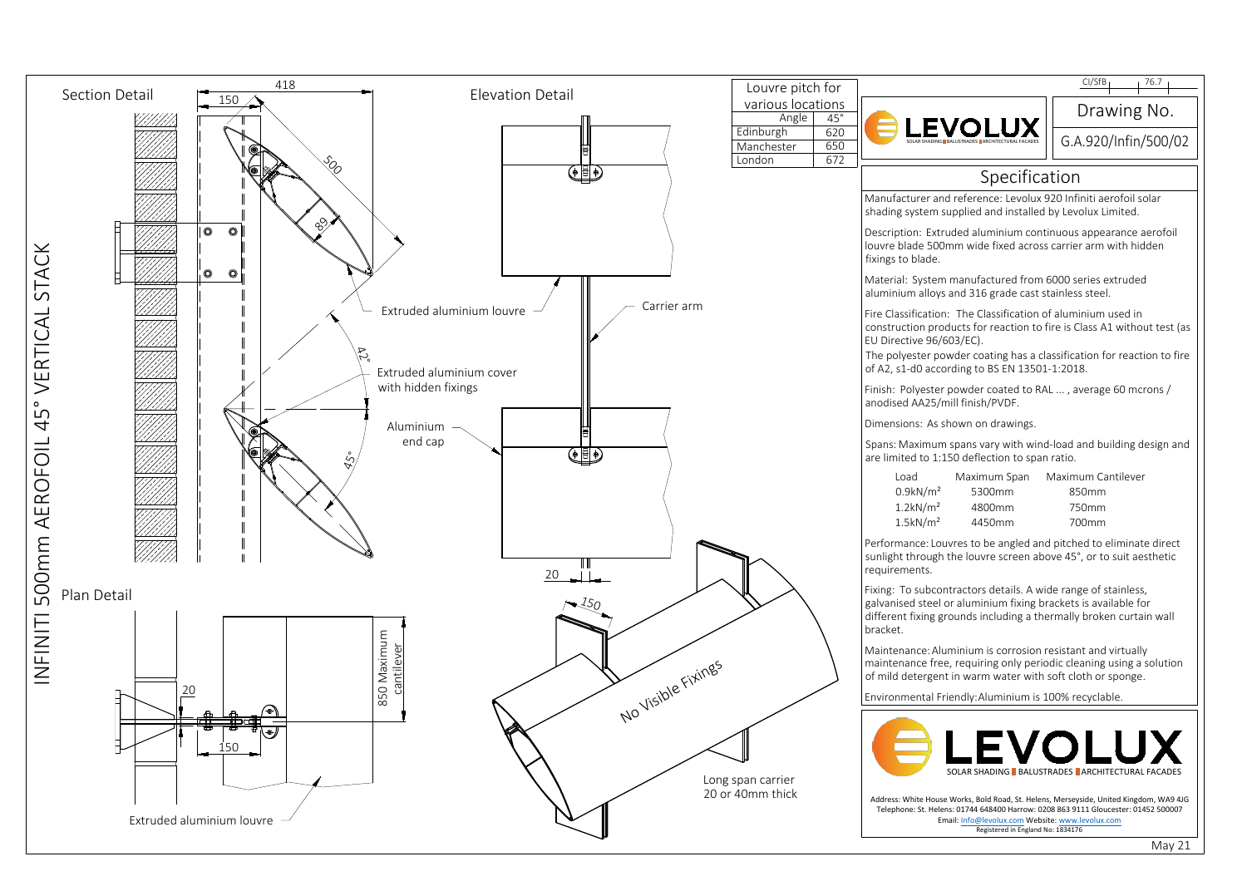